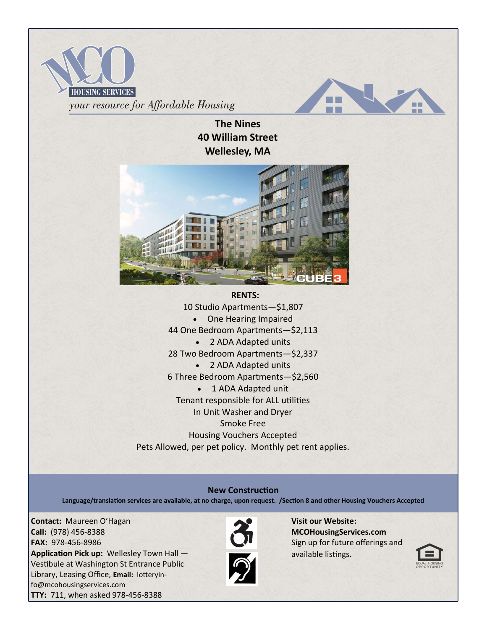



**The Nines 40 William Street Wellesley, MA**



10 Studio Apartments—\$1,807 • One Hearing Impaired 44 One Bedroom Apartments—\$2,113 • 2 ADA Adapted units 28 Two Bedroom Apartments—\$2,337 • 2 ADA Adapted units 6 Three Bedroom Apartments—\$2,560 • 1 ADA Adapted unit Tenant responsible for ALL utilities In Unit Washer and Dryer Smoke Free Housing Vouchers Accepted Pets Allowed, per pet policy. Monthly pet rent applies.

#### **New Construction**

**Language/translation services are available, at no charge, upon request. /Section 8 and other Housing Vouchers Accepted**

**Contact:** Maureen O'Hagan **Call:** (978) 456-8388 **FAX:** 978-456-8986 **Application Pick up:** Wellesley Town Hall — Vestibule at Washington St Entrance Public Library, Leasing Office, **Email:** lotteryinfo@mcohousingservices.com **TTY:** 711, when asked 978-456-8388



**Visit our Website: MCOHousingServices.com** Sign up for future offerings and available listings.